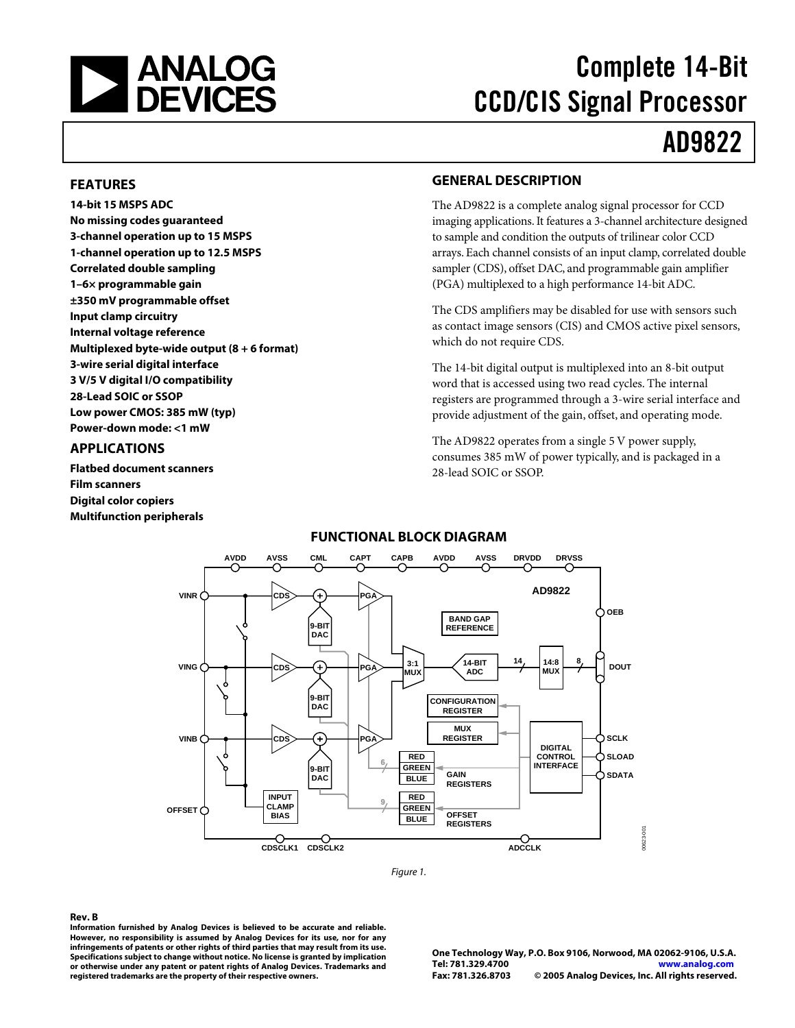

# Complete 14-Bit CCD/CIS Signal Processor

# AD9822

#### **FEATURES**

**14-bit 15 MSPS ADC No missing codes guaranteed 3-channel operation up to 15 MSPS 1-channel operation up to 12.5 MSPS Correlated double sampling 1–6× programmable gain ±350 mV programmable offset Input clamp circuitry Internal voltage reference Multiplexed byte-wide output (8 + 6 format) 3-wire serial digital interface 3 V/5 V digital I/O compatibility 28-Lead SOIC or SSOP Low power CMOS: 385 mW (typ) Power-down mode: <1 mW**

### **APPLICATIONS**

**Flatbed document scanners Film scanners Digital color copiers Multifunction peripherals** 

#### **GENERAL DESCRIPTION**

The AD9822 is a complete analog signal processor for CCD imaging applications. It features a 3-channel architecture designed to sample and condition the outputs of trilinear color CCD arrays. Each channel consists of an input clamp, correlated double sampler (CDS), offset DAC, and programmable gain amplifier (PGA) multiplexed to a high performance 14-bit ADC.

The CDS amplifiers may be disabled for use with sensors such as contact image sensors (CIS) and CMOS active pixel sensors, which do not require CDS.

The 14-bit digital output is multiplexed into an 8-bit output word that is accessed using two read cycles. The internal registers are programmed through a 3-wire serial interface and provide adjustment of the gain, offset, and operating mode.

The AD9822 operates from a single 5 V power supply, consumes 385 mW of power typically, and is packaged in a 28-lead SOIC or SSOP.

### **FUNCTIONAL BLOCK DIAGRAM**



Figure 1.

#### **Rev. B**

**Information furnished by Analog Devices is believed to be accurate and reliable. However, no responsibility is assumed by Analog Devices for its use, nor for any infringements of patents or other rights of third parties that may result from its use. Specifications subject to change without notice. No license is granted by implication or otherwise under any patent or patent rights of Analog Devices. Trademarks and registered trademarks are the property of their respective owners.**

**One Technology Way, P.O. Box 9106, Norwood, MA 02062-9106, U.S.A. Tel: 781.329.4700 <www.analog.com> Fax: 781.326.8703 © 2005 Analog Devices, Inc. All rights reserved.**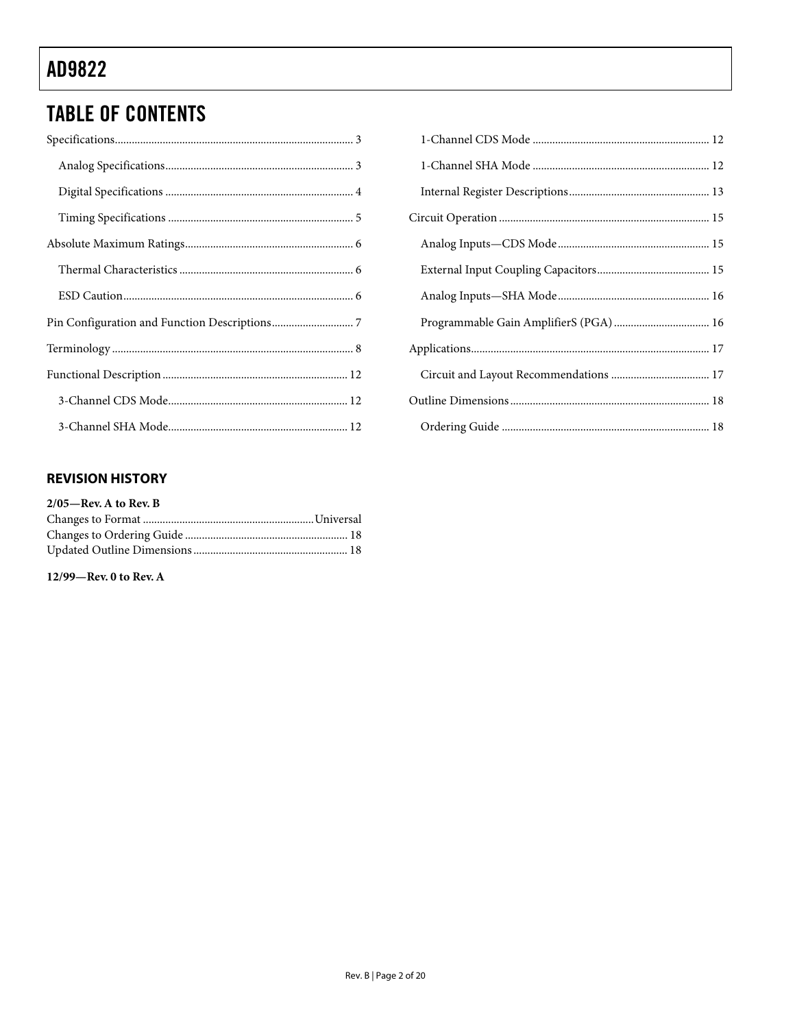# **TABLE OF CONTENTS**

# 

### **REVISION HISTORY**

| $2/05$ —Rev. A to Rev. B |  |
|--------------------------|--|
|                          |  |
|                          |  |
|                          |  |

#### 12/99-Rev. 0 to Rev. A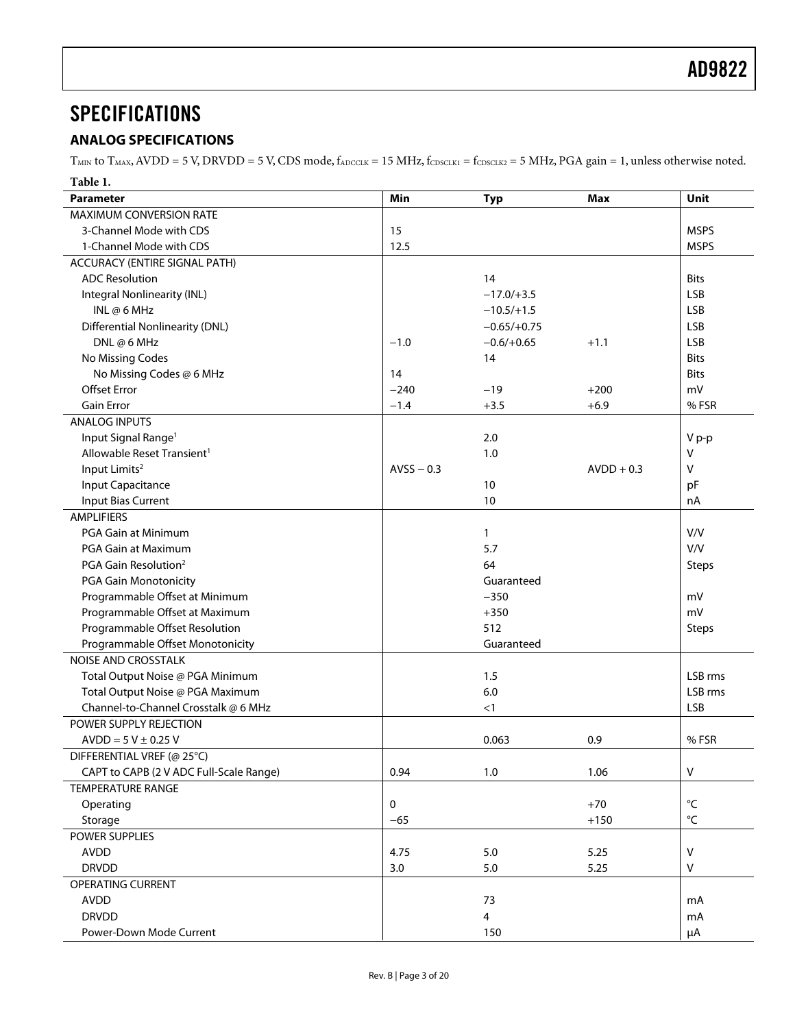# <span id="page-2-0"></span>**SPECIFICATIONS**

### **ANALOG SPECIFICATIONS**

 $T_{MIN}$  to  $T_{MAX}$ ,  $AVDD = 5$  V,  $DRVDD = 5$  V,  $CDS$  mode,  $f_{ADCCLK} = 15$  MHz,  $f_{CDSCLK1} = f_{CDSCLK2} = 5$  MHz,  $PGA$  gain = 1, unless otherwise noted. **Table 1.** 

| ravit r.<br>Parameter                   | Min          | <b>Typ</b>              | <b>Max</b>   | Unit              |
|-----------------------------------------|--------------|-------------------------|--------------|-------------------|
| MAXIMUM CONVERSION RATE                 |              |                         |              |                   |
| 3-Channel Mode with CDS                 | 15           |                         |              | <b>MSPS</b>       |
| 1-Channel Mode with CDS                 | 12.5         |                         |              | <b>MSPS</b>       |
| ACCURACY (ENTIRE SIGNAL PATH)           |              |                         |              |                   |
| <b>ADC Resolution</b>                   |              | 14                      |              | <b>Bits</b>       |
| Integral Nonlinearity (INL)             |              | $-17.0/+3.5$            |              | <b>LSB</b>        |
| INL $@6$ MHz                            |              | $-10.5/+1.5$            |              | <b>LSB</b>        |
| <b>Differential Nonlinearity (DNL)</b>  |              | $-0.65/+0.75$           |              | <b>LSB</b>        |
| DNL@6MHz                                | $-1.0$       | $-0.6/+0.65$            | $+1.1$       | <b>LSB</b>        |
| No Missing Codes                        |              | 14                      |              | <b>Bits</b>       |
| No Missing Codes @ 6 MHz                | 14           |                         |              | <b>Bits</b>       |
| <b>Offset Error</b>                     | $-240$       | $-19$                   | $+200$       | mV                |
| <b>Gain Error</b>                       | $-1.4$       | $+3.5$                  | $+6.9$       | %FSR              |
| <b>ANALOG INPUTS</b>                    |              |                         |              |                   |
| Input Signal Range <sup>1</sup>         |              | 2.0                     |              | V p-p             |
| Allowable Reset Transient <sup>1</sup>  |              | 1.0                     |              | v                 |
| Input Limits <sup>2</sup>               | $AVSS - 0.3$ |                         | $AVDD + 0.3$ | V                 |
| Input Capacitance                       |              | 10                      |              | pF                |
| Input Bias Current                      |              | 10                      |              | nA                |
| <b>AMPLIFIERS</b>                       |              |                         |              |                   |
| PGA Gain at Minimum                     |              | 1                       |              | V/V               |
| PGA Gain at Maximum                     |              | 5.7                     |              | V/V               |
| PGA Gain Resolution <sup>2</sup>        |              | 64                      |              | <b>Steps</b>      |
| PGA Gain Monotonicity                   |              | Guaranteed              |              |                   |
| Programmable Offset at Minimum          |              | $-350$                  |              | mV                |
| Programmable Offset at Maximum          |              | $+350$                  |              | mV                |
| Programmable Offset Resolution          |              | 512                     |              | <b>Steps</b>      |
| Programmable Offset Monotonicity        |              | Guaranteed              |              |                   |
| <b>NOISE AND CROSSTALK</b>              |              |                         |              |                   |
| Total Output Noise @ PGA Minimum        |              | 1.5                     |              | LSB rms           |
| Total Output Noise @ PGA Maximum        |              | $6.0\,$                 |              | LSB rms           |
| Channel-to-Channel Crosstalk @ 6 MHz    |              | <1                      |              | <b>LSB</b>        |
| POWER SUPPLY REJECTION                  |              |                         |              |                   |
| $AVDD = 5 V \pm 0.25 V$                 |              | 0.063                   | 0.9          | %FSR              |
| DIFFERENTIAL VREF (@ 25°C)              |              |                         |              |                   |
| CAPT to CAPB (2 V ADC Full-Scale Range) | 0.94         | 1.0                     | 1.06         | $\sf V$           |
| <b>TEMPERATURE RANGE</b>                |              |                         |              |                   |
| Operating                               | 0            |                         | $+70$        | $^{\circ}{\sf C}$ |
| Storage                                 | $-65$        |                         | $+150$       | $^{\circ}{\sf C}$ |
| POWER SUPPLIES                          |              |                         |              |                   |
| <b>AVDD</b>                             | 4.75         | $5.0$                   | 5.25         | $\vee$            |
| <b>DRVDD</b>                            | 3.0          | $5.0$                   | 5.25         | v                 |
| OPERATING CURRENT                       |              |                         |              |                   |
| <b>AVDD</b>                             |              | 73                      |              | mA                |
| <b>DRVDD</b>                            |              | $\overline{\mathbf{4}}$ |              | mA                |
| Power-Down Mode Current                 |              | 150                     |              | μA                |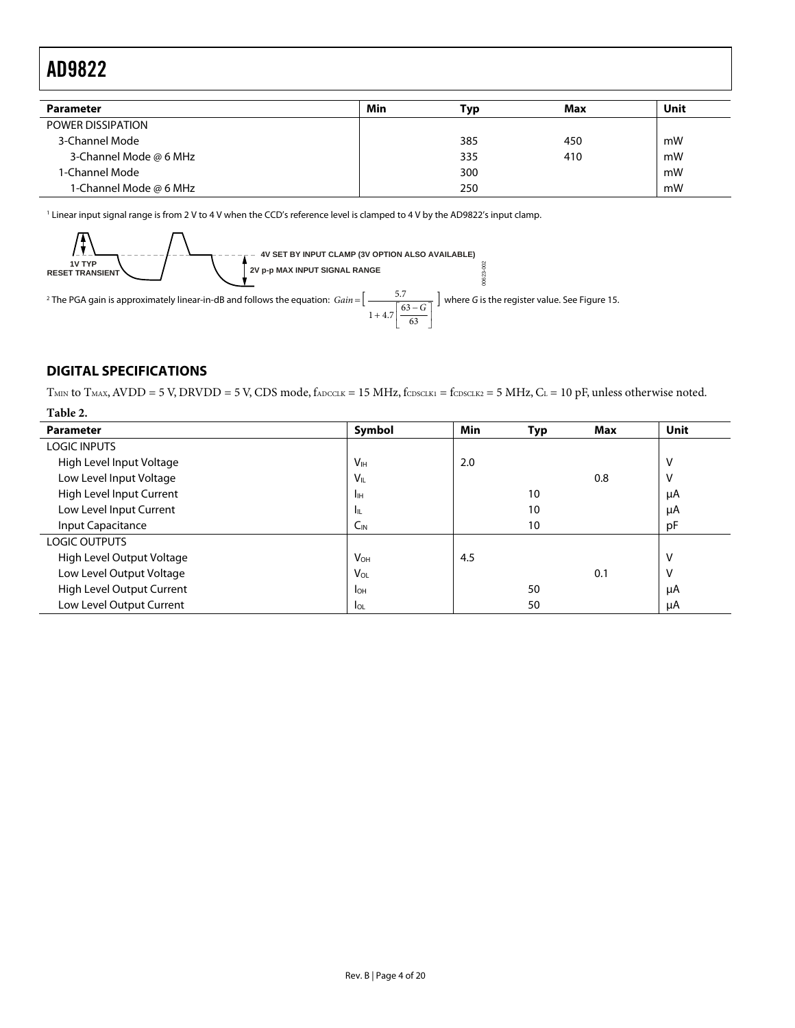<span id="page-3-0"></span>

| <b>Parameter</b>       | Min | Тур | Max | Unit |
|------------------------|-----|-----|-----|------|
| POWER DISSIPATION      |     |     |     |      |
| 3-Channel Mode         |     | 385 | 450 | mW   |
| 3-Channel Mode @ 6 MHz |     | 335 | 410 | mW   |
| 1-Channel Mode         |     | 300 |     | mW   |
| 1-Channel Mode @ 6 MHz |     | 250 |     | mW   |

<span id="page-3-1"></span>1 Linear input signal range is from 2 V to 4 V when the CCD's reference level is clamped to 4 V by the AD9822's input clamp.



### **DIGITAL SPECIFICATIONS**

 $T<sub>MIN</sub>$  to  $T<sub>MAX</sub>$ , AVDD = 5 V, DRVDD = 5 V, CDS mode,  $f<sub>ADCCLK</sub>$  = 15 MHz,  $f<sub>CDSCLK1</sub>$  =  $f<sub>CDSCLK2</sub>$  = 5 MHz,  $C<sub>L</sub>$  = 10 pF, unless otherwise noted.

63

| Table 2.                  |                       |     |     |            |      |
|---------------------------|-----------------------|-----|-----|------------|------|
| <b>Parameter</b>          | Symbol                | Min | Typ | <b>Max</b> | Unit |
| <b>LOGIC INPUTS</b>       |                       |     |     |            |      |
| High Level Input Voltage  | V <sub>IH</sub>       | 2.0 |     |            | ٧    |
| Low Level Input Voltage   | $V_{IL}$              |     |     | 0.8        | ٧    |
| High Level Input Current  | Īн                    |     | 10  |            | μA   |
| Low Level Input Current   | hц.                   |     | 10  |            | μA   |
| Input Capacitance         | $C_{IN}$              |     | 10  |            | pF   |
| <b>LOGIC OUTPUTS</b>      |                       |     |     |            |      |
| High Level Output Voltage | <b>V<sub>OH</sub></b> | 4.5 |     |            | ٧    |
| Low Level Output Voltage  | $V_{OL}$              |     |     | 0.1        | V    |
| High Level Output Current | $I_{OH}$              |     | 50  |            | μA   |
| Low Level Output Current  | $I_{OL}$              |     | 50  |            | μA   |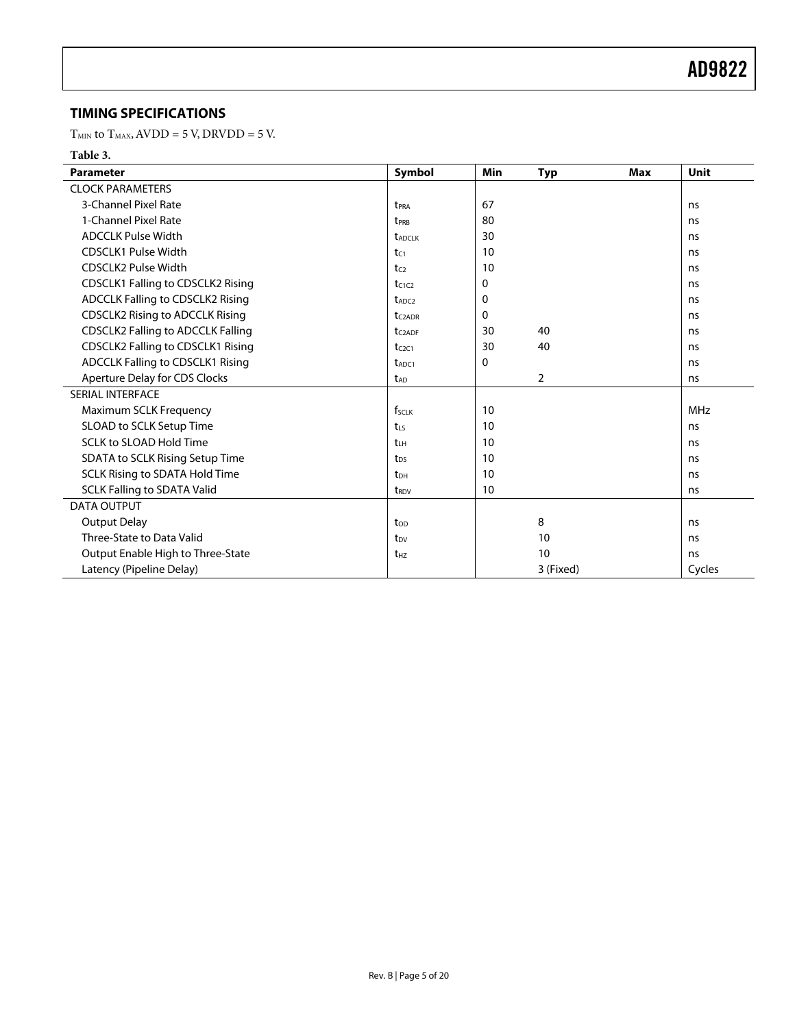### <span id="page-4-0"></span>**TIMING SPECIFICATIONS**

 ${\rm T_{MIN}}$  to  ${\rm T_{MAX}}$  AVDD = 5 V, DRVDD = 5 V.

#### **Table 3.**

| <b>Parameter</b>                         | Symbol                          | Min         | <b>Typ</b>     | <b>Max</b> | Unit       |
|------------------------------------------|---------------------------------|-------------|----------------|------------|------------|
| <b>CLOCK PARAMETERS</b>                  |                                 |             |                |            |            |
| 3-Channel Pixel Rate                     | t <sub>PRA</sub>                | 67          |                |            | ns         |
| 1-Channel Pixel Rate                     | t <sub>PRB</sub>                | 80          |                |            | ns         |
| <b>ADCCLK Pulse Width</b>                | <b><i>t<sub>ADCLK</sub></i></b> | 30          |                |            | ns         |
| <b>CDSCLK1 Pulse Width</b>               | tC1                             | 10          |                |            | ns         |
| <b>CDSCLK2 Pulse Width</b>               | tc <sub>2</sub>                 | 10          |                |            | ns         |
| <b>CDSCLK1 Falling to CDSCLK2 Rising</b> | $t_{C1C2}$                      | 0           |                |            | ns         |
| ADCCLK Falling to CDSCLK2 Rising         | t <sub>ADC2</sub>               | $\mathbf 0$ |                |            | ns         |
| <b>CDSCLK2 Rising to ADCCLK Rising</b>   | t <sub>C2ADR</sub>              | $\Omega$    |                |            | ns         |
| <b>CDSCLK2 Falling to ADCCLK Falling</b> | t <sub>C2ADF</sub>              | 30          | 40             |            | ns         |
| <b>CDSCLK2 Falling to CDSCLK1 Rising</b> | $t_{C2C1}$                      | 30          | 40             |            | ns         |
| <b>ADCCLK Falling to CDSCLK1 Rising</b>  | t <sub>ADC1</sub>               | $\Omega$    |                |            | ns         |
| Aperture Delay for CDS Clocks            | t <sub>AD</sub>                 |             | $\overline{2}$ |            | ns         |
| SERIAL INTERFACE                         |                                 |             |                |            |            |
| Maximum SCLK Frequency                   | fsclk                           | 10          |                |            | <b>MHz</b> |
| SLOAD to SCLK Setup Time                 | $t_{\rm LS}$                    | 10          |                |            | ns         |
| <b>SCLK to SLOAD Hold Time</b>           | tы                              | 10          |                |            | ns         |
| SDATA to SCLK Rising Setup Time          | t <sub>DS</sub>                 | 10          |                |            | ns         |
| SCLK Rising to SDATA Hold Time           | t <sub>DH</sub>                 | 10          |                |            | ns         |
| <b>SCLK Falling to SDATA Valid</b>       | t <sub>RDV</sub>                | 10          |                |            | ns         |
| <b>DATA OUTPUT</b>                       |                                 |             |                |            |            |
| <b>Output Delay</b>                      | t <sub>op</sub>                 |             | 8              |            | ns         |
| Three-State to Data Valid                | t <sub>DV</sub>                 |             | 10             |            | ns         |
| Output Enable High to Three-State        | $t_{HZ}$                        |             | 10             |            | ns         |
| Latency (Pipeline Delay)                 |                                 |             | 3 (Fixed)      |            | Cycles     |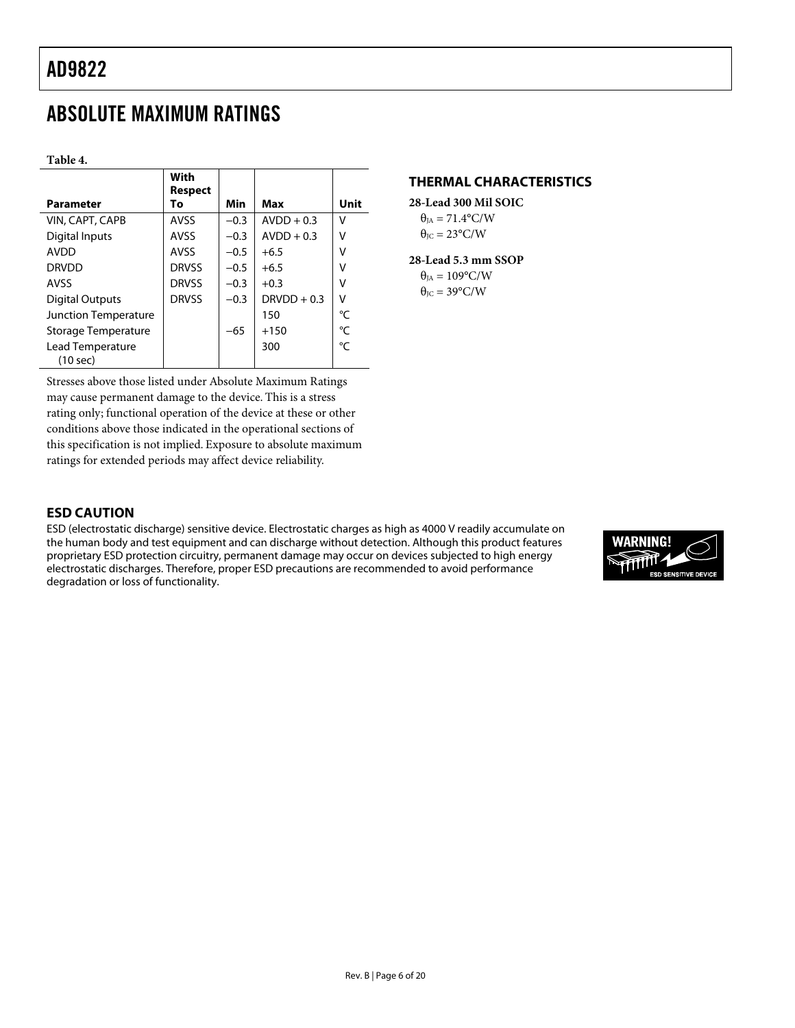# <span id="page-5-0"></span>ABSOLUTE MAXIMUM RATINGS

**Table 4.** 

| <b>Parameter</b>             | With<br>Respect<br>To | Min    | Max           | Unit |
|------------------------------|-----------------------|--------|---------------|------|
| VIN, CAPT, CAPB              | AVSS                  | $-0.3$ | $AVDD + 0.3$  | v    |
| Digital Inputs               | <b>AVSS</b>           | $-0.3$ | $AVDD + 0.3$  | ٧    |
| <b>AVDD</b>                  | <b>AVSS</b>           | $-0.5$ | $+6.5$        | ٧    |
| <b>DRVDD</b>                 | <b>DRVSS</b>          | $-0.5$ | $+6.5$        | ٧    |
| <b>AVSS</b>                  | <b>DRVSS</b>          | $-0.3$ | $+0.3$        | ٧    |
| Digital Outputs              | <b>DRVSS</b>          | $-0.3$ | $DRVDD + 0.3$ | ٧    |
| <b>Junction Temperature</b>  |                       |        | 150           | °C   |
| Storage Temperature          |                       | $-65$  | $+150$        | °C   |
| Lead Temperature<br>(10 sec) |                       |        | 300           | °C   |

Stresses above those listed under Absolute Maximum Ratings may cause permanent damage to the device. This is a stress rating only; functional operation of the device at these or other conditions above those indicated in the operational sections of this specification is not implied. Exposure to absolute maximum ratings for extended periods may affect device reliability.

### **THERMAL CHARACTERISTICS**

**28-Lead 300 Mil SOIC**  $\theta_{IA} = 71.4$ °C/W  $\theta_{\text{IC}} = 23^{\circ}\text{C/W}$ 

#### **28-Lead 5.3 mm SSOP**   $\theta_{IA} = 109^{\circ}$ C/W  $\theta_{\text{JC}} = 39^{\circ}$ C/W

### **ESD CAUTION**

ESD (electrostatic discharge) sensitive device. Electrostatic charges as high as 4000 V readily accumulate on the human body and test equipment and can discharge without detection. Although this product features proprietary ESD protection circuitry, permanent damage may occur on devices subjected to high energy electrostatic discharges. Therefore, proper ESD precautions are recommended to avoid performance degradation or loss of functionality.

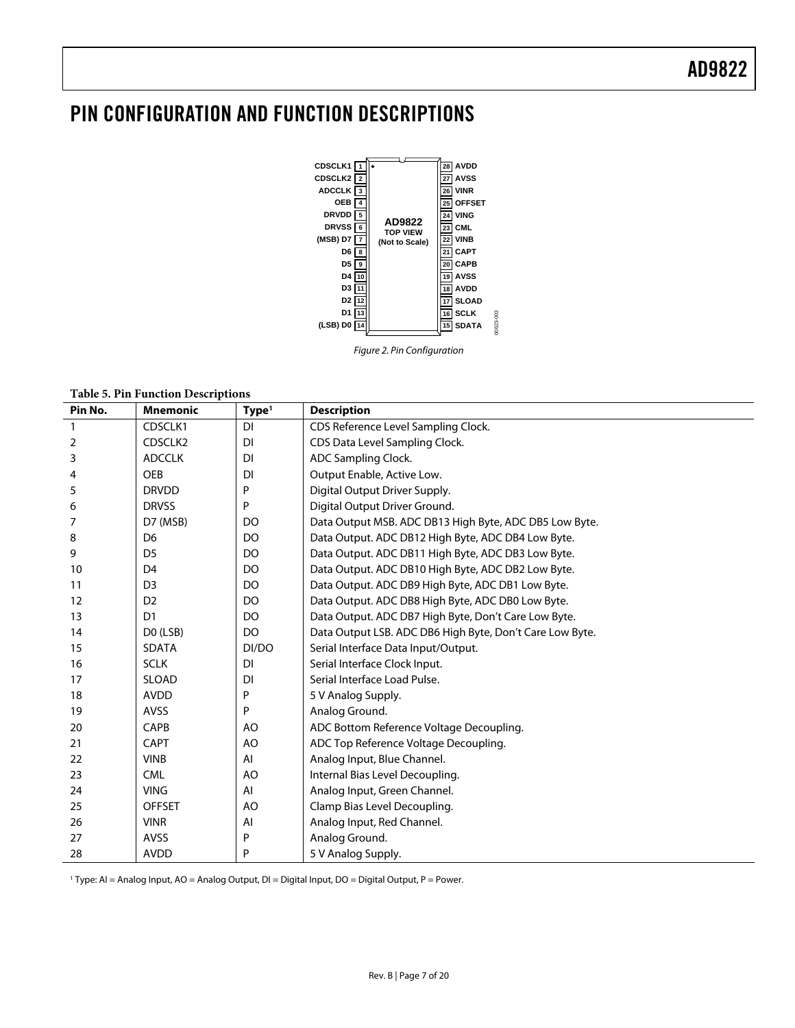# <span id="page-6-0"></span>PIN CONFIGURATION AND FUNCTION DESCRIPTIONS



Figure 2. Pin Configuration

**Table 5. Pin Function Descriptions**

| Pin No. | <b>Mnemonic</b> | Type <sup>1</sup> | <b>Description</b>                                       |
|---------|-----------------|-------------------|----------------------------------------------------------|
| 1       | CDSCLK1         | <b>DI</b>         | CDS Reference Level Sampling Clock.                      |
| 2       | CDSCLK2         | DI                | CDS Data Level Sampling Clock.                           |
| 3       | <b>ADCCLK</b>   | DI                | ADC Sampling Clock.                                      |
| 4       | <b>OEB</b>      | DI                | Output Enable, Active Low.                               |
| 5       | <b>DRVDD</b>    | P                 | Digital Output Driver Supply.                            |
| 6       | <b>DRVSS</b>    | P                 | Digital Output Driver Ground.                            |
| 7       | D7 (MSB)        | DO                | Data Output MSB. ADC DB13 High Byte, ADC DB5 Low Byte.   |
| 8       | D <sub>6</sub>  | DO                | Data Output. ADC DB12 High Byte, ADC DB4 Low Byte.       |
| 9       | D <sub>5</sub>  | DO                | Data Output. ADC DB11 High Byte, ADC DB3 Low Byte.       |
| 10      | D <sub>4</sub>  | DO                | Data Output. ADC DB10 High Byte, ADC DB2 Low Byte.       |
| 11      | D <sub>3</sub>  | DO                | Data Output. ADC DB9 High Byte, ADC DB1 Low Byte.        |
| 12      | D <sub>2</sub>  | DO                | Data Output. ADC DB8 High Byte, ADC DB0 Low Byte.        |
| 13      | D <sub>1</sub>  | DO                | Data Output. ADC DB7 High Byte, Don't Care Low Byte.     |
| 14      | DO (LSB)        | DO                | Data Output LSB. ADC DB6 High Byte, Don't Care Low Byte. |
| 15      | <b>SDATA</b>    | DI/DO             | Serial Interface Data Input/Output.                      |
| 16      | <b>SCLK</b>     | DI                | Serial Interface Clock Input.                            |
| 17      | <b>SLOAD</b>    | DI                | Serial Interface Load Pulse.                             |
| 18      | <b>AVDD</b>     | P                 | 5 V Analog Supply.                                       |
| 19      | <b>AVSS</b>     | P                 | Analog Ground.                                           |
| 20      | <b>CAPB</b>     | A <sub>O</sub>    | ADC Bottom Reference Voltage Decoupling.                 |
| 21      | <b>CAPT</b>     | A <sub>O</sub>    | ADC Top Reference Voltage Decoupling.                    |
| 22      | <b>VINB</b>     | AI                | Analog Input, Blue Channel.                              |
| 23      | <b>CML</b>      | A <sub>O</sub>    | Internal Bias Level Decoupling.                          |
| 24      | <b>VING</b>     | AI                | Analog Input, Green Channel.                             |
| 25      | <b>OFFSET</b>   | A <sub>O</sub>    | Clamp Bias Level Decoupling.                             |
| 26      | <b>VINR</b>     | Al                | Analog Input, Red Channel.                               |
| 27      | <b>AVSS</b>     | P                 | Analog Ground.                                           |
| 28      | <b>AVDD</b>     | P                 | 5 V Analog Supply.                                       |

1 Type: AI = Analog Input, AO = Analog Output, DI = Digital Input, DO = Digital Output, P = Power.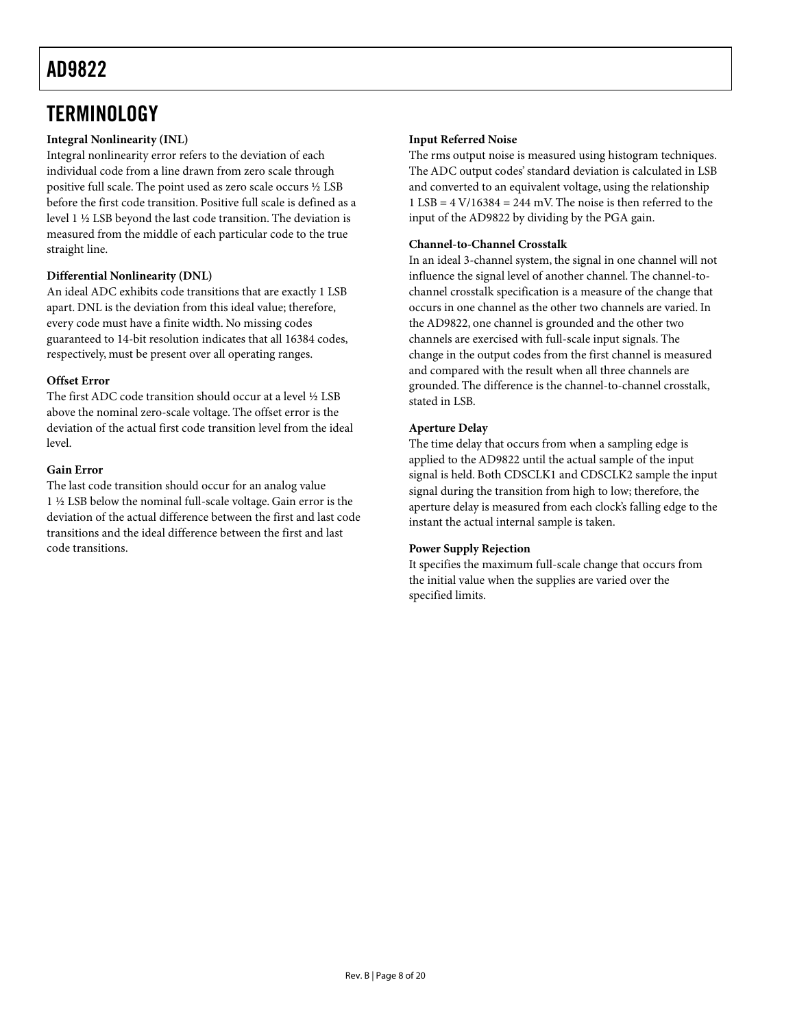# <span id="page-7-0"></span>**TERMINOLOGY**

### **Integral Nonlinearity (INL)**

Integral nonlinearity error refers to the deviation of each individual code from a line drawn from zero scale through positive full scale. The point used as zero scale occurs ½ LSB before the first code transition. Positive full scale is defined as a level 1 ½ LSB beyond the last code transition. The deviation is measured from the middle of each particular code to the true straight line.

### **Differential Nonlinearity (DNL)**

An ideal ADC exhibits code transitions that are exactly 1 LSB apart. DNL is the deviation from this ideal value; therefore, every code must have a finite width. No missing codes guaranteed to 14-bit resolution indicates that all 16384 codes, respectively, must be present over all operating ranges.

### **Offset Error**

The first ADC code transition should occur at a level ½ LSB above the nominal zero-scale voltage. The offset error is the deviation of the actual first code transition level from the ideal level.

### **Gain Error**

The last code transition should occur for an analog value 1 ½ LSB below the nominal full-scale voltage. Gain error is the deviation of the actual difference between the first and last code transitions and the ideal difference between the first and last code transitions.

### **Input Referred Noise**

The rms output noise is measured using histogram techniques. The ADC output codes' standard deviation is calculated in LSB and converted to an equivalent voltage, using the relationship  $1$  LSB =  $4$  V/16384 = 244 mV. The noise is then referred to the input of the AD9822 by dividing by the PGA gain.

#### **Channel-to-Channel Crosstalk**

In an ideal 3-channel system, the signal in one channel will not influence the signal level of another channel. The channel-tochannel crosstalk specification is a measure of the change that occurs in one channel as the other two channels are varied. In the AD9822, one channel is grounded and the other two channels are exercised with full-scale input signals. The change in the output codes from the first channel is measured and compared with the result when all three channels are grounded. The difference is the channel-to-channel crosstalk, stated in LSB.

### **Aperture Delay**

The time delay that occurs from when a sampling edge is applied to the AD9822 until the actual sample of the input signal is held. Both CDSCLK1 and CDSCLK2 sample the input signal during the transition from high to low; therefore, the aperture delay is measured from each clock's falling edge to the instant the actual internal sample is taken.

#### **Power Supply Rejection**

It specifies the maximum full-scale change that occurs from the initial value when the supplies are varied over the specified limits.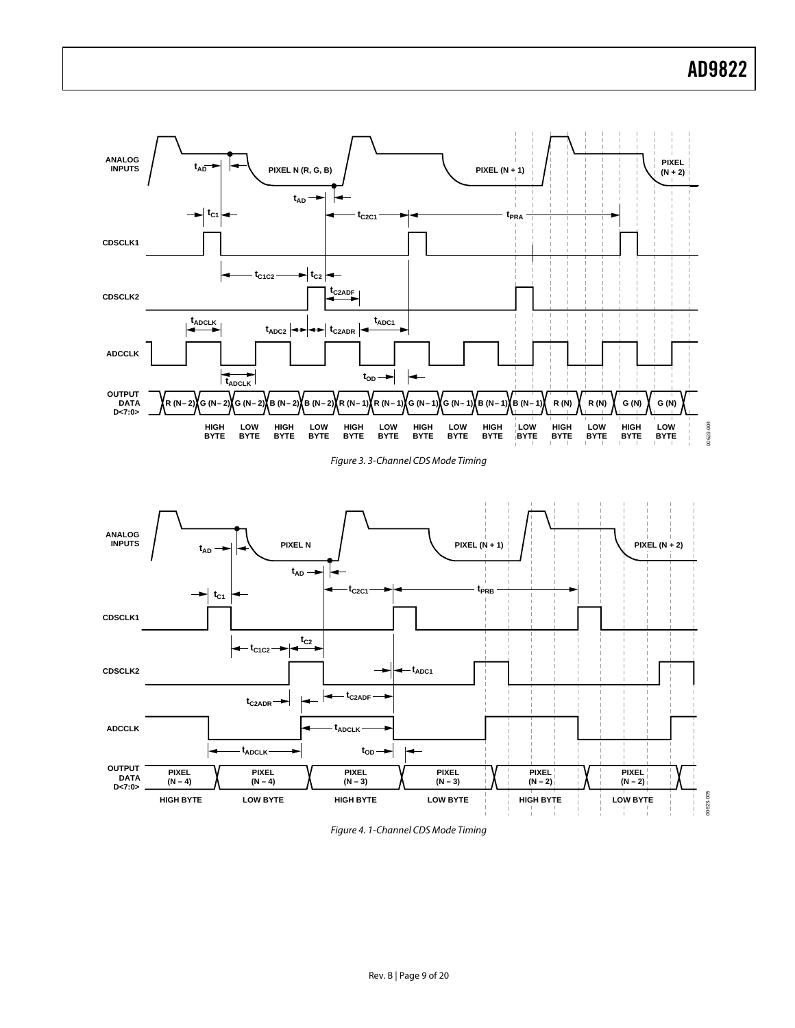<span id="page-8-0"></span>

<span id="page-8-1"></span>Figure 3. 3-Channel CDS Mode Timing



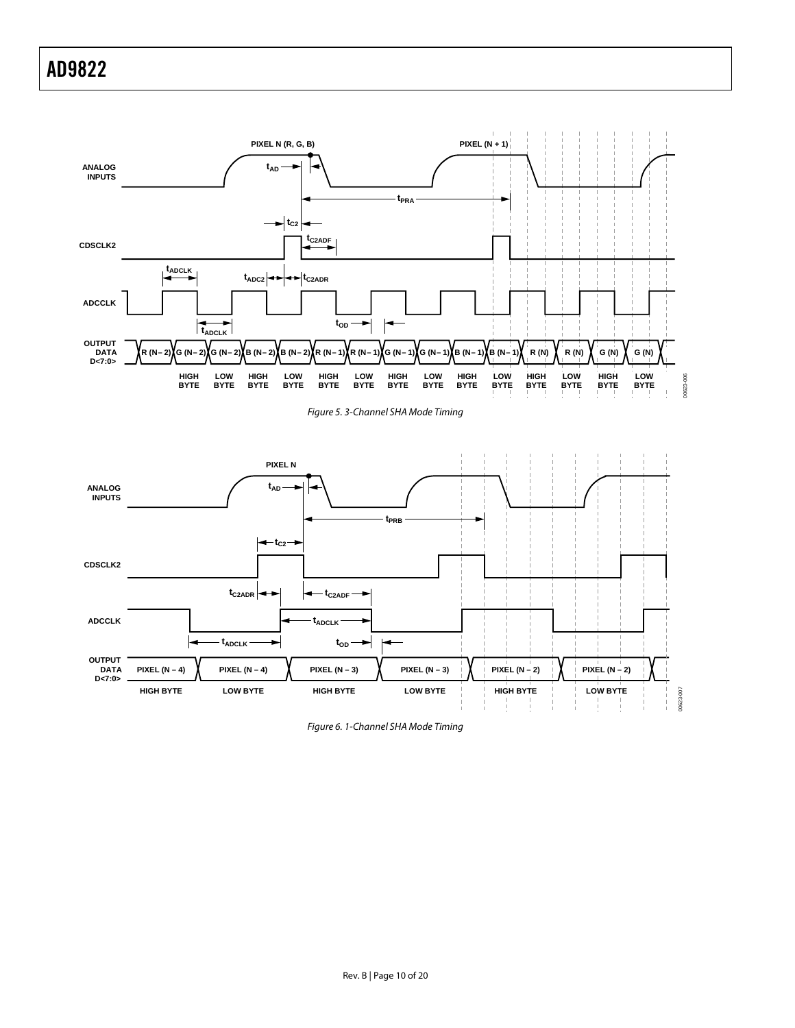<span id="page-9-0"></span>

<span id="page-9-1"></span>



Figure 6. 1-Channel SHA Mode Timing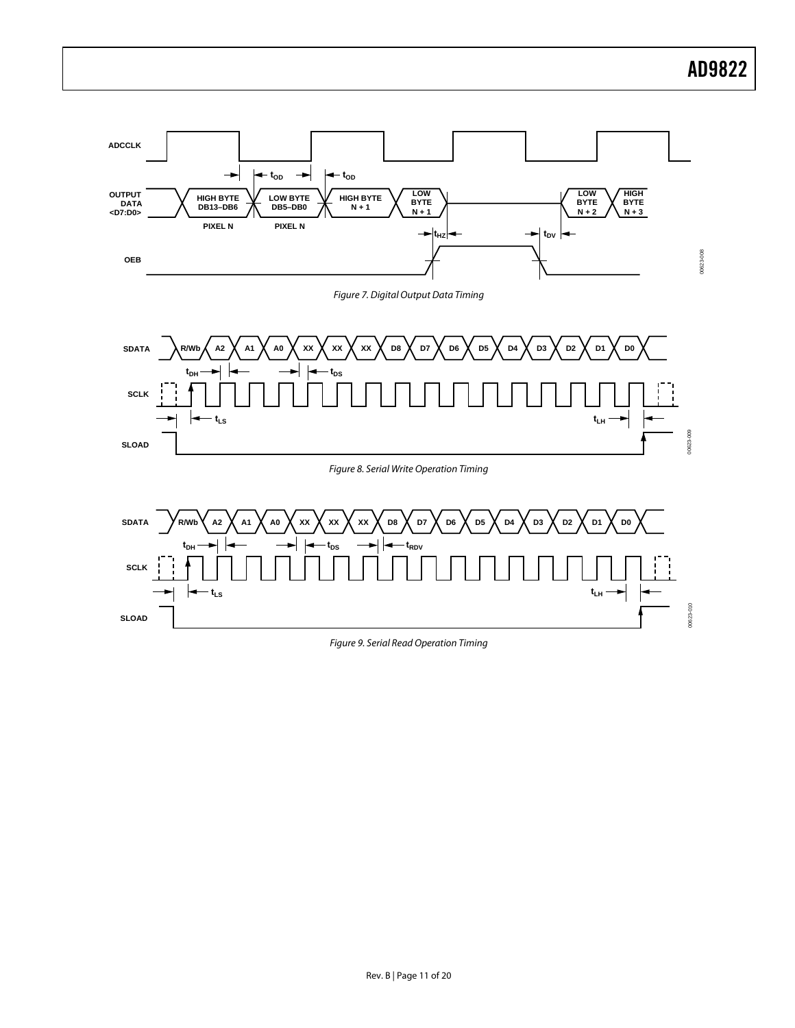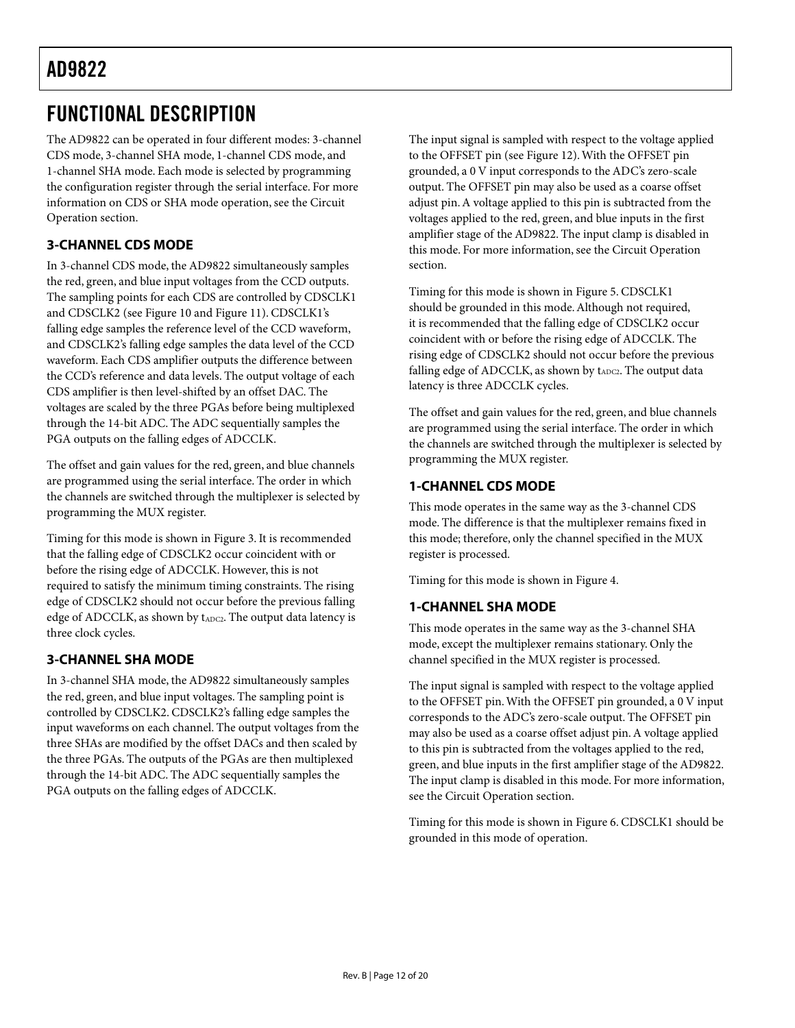# <span id="page-11-0"></span>FUNCTIONAL DESCRIPTION

The AD9822 can be operated in four different modes: 3-channel CDS mode, 3-channel SHA mode, 1-channel CDS mode, and 1-channel SHA mode. Each mode is selected by programming the configuration register through the serial interface. For more information on CDS or SHA mode operation, see the [Circuit](#page-14-1)  [Operation s](#page-14-1)ection.

## **3-CHANNEL CDS MODE**

In 3-channel CDS mode, the AD9822 simultaneously samples the red, green, and blue input voltages from the CCD outputs. The sampling points for each CDS are controlled by CDSCLK1 and CDSCLK2 (see [Figure 10 a](#page-14-2)nd [Figure 11\).](#page-14-3) CDSCLK1's falling edge samples the reference level of the CCD waveform, and CDSCLK2's falling edge samples the data level of the CCD waveform. Each CDS amplifier outputs the difference between the CCD's reference and data levels. The output voltage of each CDS amplifier is then level-shifted by an offset DAC. The voltages are scaled by the three PGAs before being multiplexed through the 14-bit ADC. The ADC sequentially samples the PGA outputs on the falling edges of ADCCLK.

The offset and gain values for the red, green, and blue channels are programmed using the serial interface. The order in which the channels are switched through the multiplexer is selected by programming the MUX register.

Timing for this mode is shown in [Figure 3.](#page-8-0) It is recommended that the falling edge of CDSCLK2 occur coincident with or before the rising edge of ADCCLK. However, this is not required to satisfy the minimum timing constraints. The rising edge of CDSCLK2 should not occur before the previous falling edge of ADCCLK, as shown by t<sub>ADC2</sub>. The output data latency is three clock cycles.

### **3-CHANNEL SHA MODE**

In 3-channel SHA mode, the AD9822 simultaneously samples the red, green, and blue input voltages. The sampling point is controlled by CDSCLK2. CDSCLK2's falling edge samples the input waveforms on each channel. The output voltages from the three SHAs are modified by the offset DACs and then scaled by the three PGAs. The outputs of the PGAs are then multiplexed through the 14-bit ADC. The ADC sequentially samples the PGA outputs on the falling edges of ADCCLK.

The input signal is sampled with respect to the voltage applied to the OFFSET pin (see [Figure 12\)](#page-15-2). With the OFFSET pin grounded, a 0 V input corresponds to the ADC's zero-scale output. The OFFSET pin may also be used as a coarse offset adjust pin. A voltage applied to this pin is subtracted from the voltages applied to the red, green, and blue inputs in the first amplifier stage of the AD9822. The input clamp is disabled in this mode. For more information, see the [Circuit Operation](#page-14-1)  section.

Timing for this mode is shown in [Figure 5.](#page-9-0) CDSCLK1 should be grounded in this mode. Although not required, it is recommended that the falling edge of CDSCLK2 occur coincident with or before the rising edge of ADCCLK. The rising edge of CDSCLK2 should not occur before the previous falling edge of ADCCLK, as shown by tADC2. The output data latency is three ADCCLK cycles.

The offset and gain values for the red, green, and blue channels are programmed using the serial interface. The order in which the channels are switched through the multiplexer is selected by programming the MUX register.

### **1-CHANNEL CDS MODE**

This mode operates in the same way as the 3-channel CDS mode. The difference is that the multiplexer remains fixed in this mode; therefore, only the channel specified in the MUX register is processed.

Timing for this mode is shown in [Figure 4.](#page-8-1) 

### **1-CHANNEL SHA MODE**

This mode operates in the same way as the 3-channel SHA mode, except the multiplexer remains stationary. Only the channel specified in the MUX register is processed.

The input signal is sampled with respect to the voltage applied to the OFFSET pin. With the OFFSET pin grounded, a 0 V input corresponds to the ADC's zero-scale output. The OFFSET pin may also be used as a coarse offset adjust pin. A voltage applied to this pin is subtracted from the voltages applied to the red, green, and blue inputs in the first amplifier stage of the AD9822. The input clamp is disabled in this mode. For more information, see the [Circuit Operation s](#page-14-1)ection.

Timing for this mode is shown in [Figure 6.](#page-9-1) CDSCLK1 should be grounded in this mode of operation.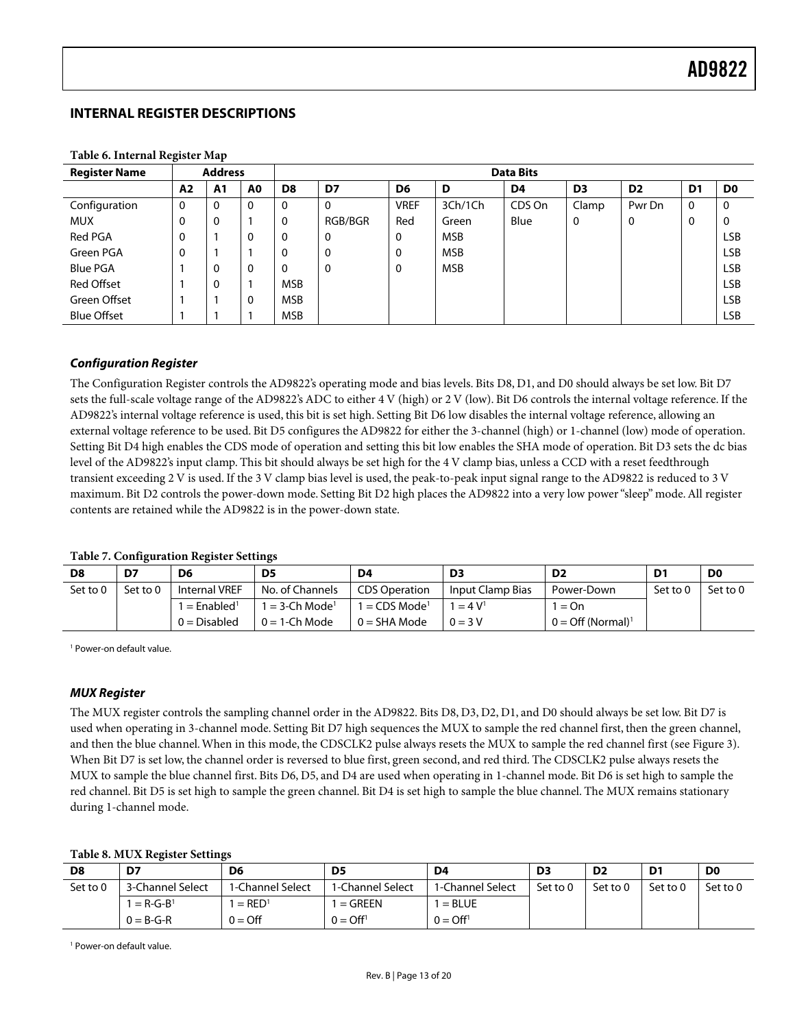### <span id="page-12-0"></span>**INTERNAL REGISTER DESCRIPTIONS**

| <b>Register Name</b> |    | <b>Address</b> |                |                | <b>Data Bits</b> |                |            |        |                |                |                |                |
|----------------------|----|----------------|----------------|----------------|------------------|----------------|------------|--------|----------------|----------------|----------------|----------------|
|                      | A2 | A1             | A <sub>0</sub> | D <sub>8</sub> | D7               | D <sub>6</sub> | D          | D4     | D <sub>3</sub> | D <sub>2</sub> | D <sub>1</sub> | D <sub>0</sub> |
| Configuration        | 0  | $\Omega$       | 0              | 0              | $\Omega$         | <b>VREF</b>    | 3Ch/1Ch    | CDS On | Clamp          | Pwr Dn         | $\mathbf 0$    | $\mathbf 0$    |
| <b>MUX</b>           | 0  | 0              |                | 0              | RGB/BGR          | Red            | Green      | Blue   | 0              | 0              | 0              | $\mathbf 0$    |
| Red PGA              | 0  |                | 0              | 0              | 0                | 0              | <b>MSB</b> |        |                |                |                | <b>LSB</b>     |
| Green PGA            |    |                |                | 0              | 0                | $\mathbf 0$    | <b>MSB</b> |        |                |                |                | <b>LSB</b>     |
| <b>Blue PGA</b>      |    | $\Omega$       | $\mathbf 0$    | 0              | 0                | 0              | <b>MSB</b> |        |                |                |                | <b>LSB</b>     |
| <b>Red Offset</b>    |    | $\Omega$       |                | <b>MSB</b>     |                  |                |            |        |                |                |                | <b>LSB</b>     |
| Green Offset         |    |                | $\mathbf 0$    | <b>MSB</b>     |                  |                |            |        |                |                |                | <b>LSB</b>     |
| <b>Blue Offset</b>   |    |                |                | <b>MSB</b>     |                  |                |            |        |                |                |                | <b>LSB</b>     |

**Table 6. Internal Register Map** 

### **Configuration Register**

The Configuration Register controls the AD9822's operating mode and bias levels. Bits D8, D1, and D0 should always be set low. Bit D7 sets the full-scale voltage range of the AD9822's ADC to either 4 V (high) or 2 V (low). Bit D6 controls the internal voltage reference. If the AD9822's internal voltage reference is used, this bit is set high. Setting Bit D6 low disables the internal voltage reference, allowing an external voltage reference to be used. Bit D5 configures the AD9822 for either the 3-channel (high) or 1-channel (low) mode of operation. Setting Bit D4 high enables the CDS mode of operation and setting this bit low enables the SHA mode of operation. Bit D3 sets the dc bias level of the AD9822's input clamp. This bit should always be set high for the 4 V clamp bias, unless a CCD with a reset feedthrough transient exceeding 2 V is used. If the 3 V clamp bias level is used, the peak-to-peak input signal range to the AD9822 is reduced to 3 V maximum. Bit D2 controls the power-down mode. Setting Bit D2 high places the AD9822 into a very low power "sleep" mode. All register contents are retained while the AD9822 is in the power-down state.

#### **Table 7. Configuration Register Settings**

| D8       | D7       | D6                       | D5                         | D4                        | D3               | D <sub>2</sub>                  | D1       | D <sub>0</sub> |
|----------|----------|--------------------------|----------------------------|---------------------------|------------------|---------------------------------|----------|----------------|
| Set to 0 | Set to 0 | <b>Internal VREF</b>     | No. of Channels            | <b>CDS Operation</b>      | Input Clamp Bias | Power-Down                      | Set to 0 | Set to 0       |
|          |          | $=$ Enabled <sup>1</sup> | $=$ 3-Ch Mode <sup>1</sup> | 1 = CDS Mode <sup>1</sup> | $= 4 V1$         | $=$ On                          |          |                |
|          |          | $0 = Disable$ d          | $0 = 1$ -Ch Mode           | $0 = SHA Mode$            | $0 = 3V$         | $0 =$ Off (Normal) <sup>1</sup> |          |                |

<span id="page-12-1"></span>1 Power-on default value.

#### **MUX Register**

The MUX register controls the sampling channel order in the AD9822. Bits D8, D3, D2, D1, and D0 should always be set low. Bit D7 is used when operating in 3-channel mode. Setting Bit D7 high sequences the MUX to sample the red channel first, then the green channel, and then the blue channel. When in this mode, the CDSCLK2 pulse always resets the MUX to sample the red channel first (see [Figure 3\)](#page-8-0). When Bit D7 is set low, the channel order is reversed to blue first, green second, and red third. The CDSCLK2 pulse always resets the MUX to sample the blue channel first. Bits D6, D5, and D4 are used when operating in 1-channel mode. Bit D6 is set high to sample the red channel. Bit D5 is set high to sample the green channel. Bit D4 is set high to sample the blue channel. The MUX remains stationary during 1-channel mode.

#### **Table 8. MUX Register Settings**

| D8       | D7               | D6                   | D <sub>5</sub>     | D <sub>4</sub>     | D <sub>3</sub> | D <sub>2</sub> | D <sub>1</sub> | D <sub>0</sub> |
|----------|------------------|----------------------|--------------------|--------------------|----------------|----------------|----------------|----------------|
| Set to 0 | 3-Channel Select | 1-Channel Select     | 1-Channel Select   | 1-Channel Select   | Set to 0       | Set to 0       | Set to 0       | Set to 0       |
|          | $= R - G - B1$   | $=$ RED <sup>1</sup> | $=$ GREEN          | $=$ BLUE           |                |                |                |                |
|          | $0 = B-G-R$      | $0 = \text{Off}$     | $0 = \text{Off}^1$ | $0 = \text{Off}^1$ |                |                |                |                |

<span id="page-12-2"></span>1 Power-on default value.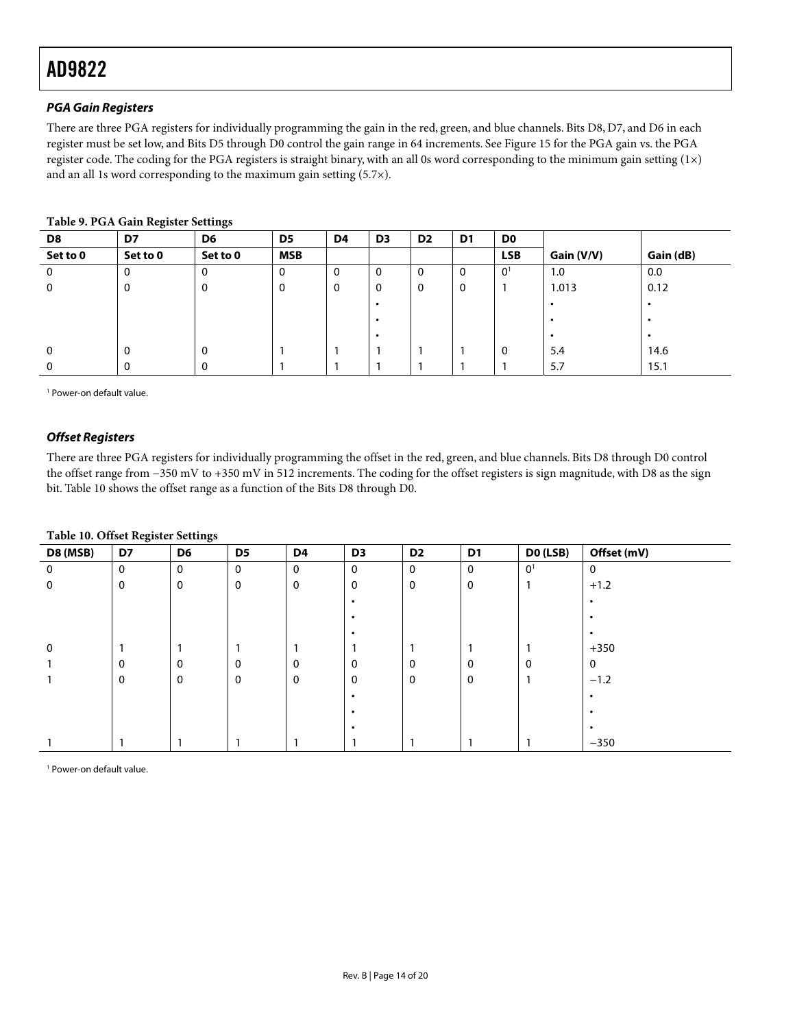### <span id="page-13-2"></span>**PGA Gain Registers**

There are three PGA registers for individually programming the gain in the red, green, and blue channels. Bits D8, D7, and D6 in each register must be set low, and Bits D5 through D0 control the gain range in 64 increments. See [Figure 15 f](#page-15-3)or the PGA gain vs. the PGA register code. The coding for the PGA registers is straight binary, with an all 0s word corresponding to the minimum gain setting (1×) and an all 1s word corresponding to the maximum gain setting (5.7×).

| D8           | $\tilde{}$<br>D7 | $\tilde{\phantom{a}}$<br>D <sub>6</sub> | D5         | D <sub>4</sub> | D <sub>3</sub> | D <sub>2</sub> | D1 | D <sub>0</sub> |            |           |
|--------------|------------------|-----------------------------------------|------------|----------------|----------------|----------------|----|----------------|------------|-----------|
| Set to 0     | Set to 0         | Set to 0                                | <b>MSB</b> |                |                |                |    | <b>LSB</b>     | Gain (V/V) | Gain (dB) |
| $\Omega$     | 0                | $\mathbf{0}$                            | 0          | 0              | $\Omega$       | 0              | 0  | 0 <sup>1</sup> | 1.0        | 0.0       |
| 0            | 0                | 0                                       | 0          | 0              | 0              | 0              | 0  |                | 1.013      | 0.12      |
|              |                  |                                         |            |                |                |                |    |                | $\bullet$  |           |
|              |                  |                                         |            |                |                |                |    |                | $\bullet$  |           |
|              |                  |                                         |            |                |                |                |    |                | $\bullet$  |           |
| $\Omega$     | $\mathbf 0$      | 0                                       |            |                |                |                |    | 0              | 5.4        | 14.6      |
| $\mathbf{0}$ |                  | $\Omega$                                |            |                |                |                |    |                | 5.7        | 15.1      |

#### **Table 9. PGA Gain Register Settings**

<span id="page-13-1"></span>1 Power-on default value.

#### **Offset Registers**

There are three PGA registers for individually programming the offset in the red, green, and blue channels. Bits D8 through D0 control the offset range from −350 mV to +350 mV in 512 increments. The coding for the offset registers is sign magnitude, with D8 as the sign bit. [Table 10 s](#page-13-0)hows the offset range as a function of the Bits D8 through D0.

#### <span id="page-13-0"></span>**Table 10. Offset Register Settings**

| D8 (MSB)       | D7          | D6          | D <sub>5</sub> | D4          | D <sub>3</sub> | D <sub>2</sub> | D <sub>1</sub>   | DO (LSB)       | Offset (mV) |
|----------------|-------------|-------------|----------------|-------------|----------------|----------------|------------------|----------------|-------------|
| $\overline{0}$ | $\mathbf 0$ | $\mathbf 0$ | $\mathbf 0$    | $\mathbf 0$ | $\mathbf 0$    | $\mathbf 0$    | $\mathbf 0$      | 0 <sup>1</sup> | 0           |
| 0              | 0           | $\mathbf 0$ | 0              | 0           | 0              | 0              | $\boldsymbol{0}$ |                | $+1.2$      |
|                |             |             |                |             |                |                |                  |                | $\bullet$   |
|                |             |             |                |             |                |                |                  |                | $\bullet$   |
|                |             |             |                |             |                |                |                  |                | $\bullet$   |
| $\mathbf 0$    |             |             |                | ٠           |                |                |                  |                | $+350$      |
|                | 0           | $\mathbf 0$ | 0              | $\mathbf 0$ | 0              | 0              | 0                | 0              | 0           |
|                | 0           | $\mathbf 0$ | $\mathbf 0$    | 0           | 0              | 0              | 0                |                | $-1.2$      |
|                |             |             |                |             |                |                |                  |                | ٠           |
|                |             |             |                |             |                |                |                  |                |             |
|                |             |             |                |             |                |                |                  |                | $\bullet$   |
|                |             |             |                |             |                |                |                  |                | $-350$      |

1 Power-on default value.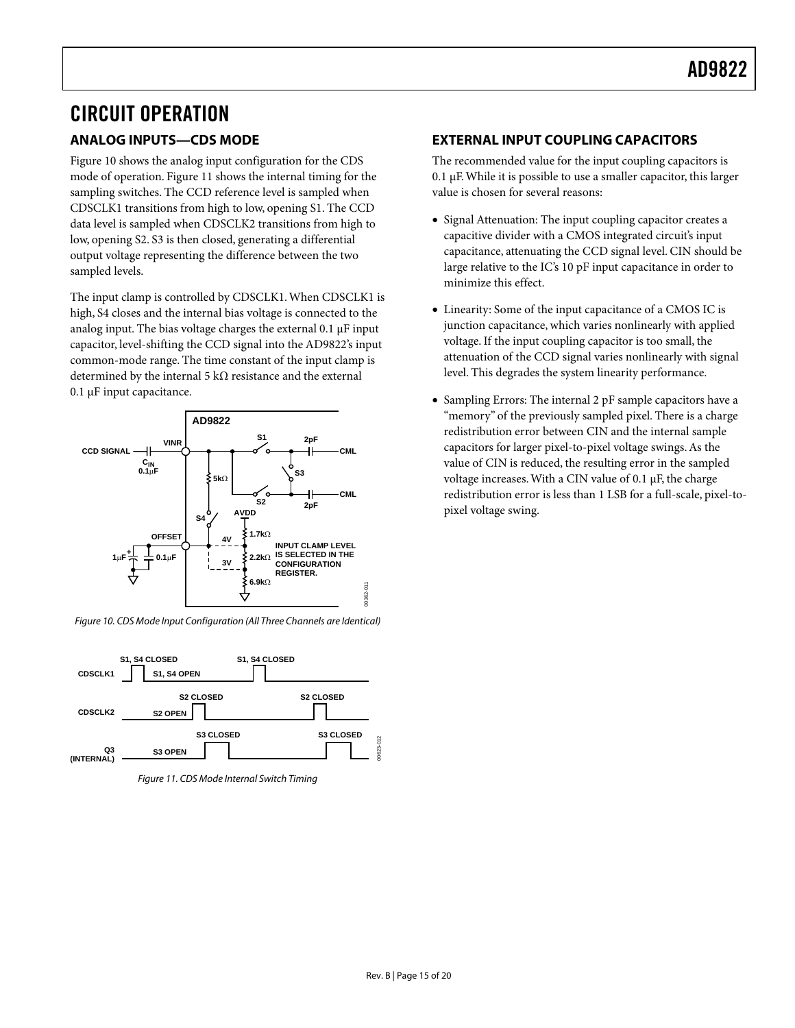# <span id="page-14-1"></span><span id="page-14-0"></span>CIRCUIT OPERATION **ANALOG INPUTS—CDS MODE**

[Figure 10 s](#page-14-2)hows the analog input configuration for the CDS mode of operation. [Figure 11 s](#page-14-3)hows the internal timing for the sampling switches. The CCD reference level is sampled when CDSCLK1 transitions from high to low, opening S1. The CCD data level is sampled when CDSCLK2 transitions from high to low, opening S2. S3 is then closed, generating a differential output voltage representing the difference between the two sampled levels.

The input clamp is controlled by CDSCLK1.When CDSCLK1 is high, S4 closes and the internal bias voltage is connected to the analog input. The bias voltage charges the external 0.1 µF input capacitor, level-shifting the CCD signal into the AD9822's input common-mode range. The time constant of the input clamp is determined by the internal 5 k $\Omega$  resistance and the external 0.1 µF input capacitance.

<span id="page-14-2"></span>

Figure 10. CDS Mode Input Configuration (All Three Channels are Identical)

<span id="page-14-3"></span>

Figure 11. CDS Mode Internal Switch Timing

### **EXTERNAL INPUT COUPLING CAPACITORS**

The recommended value for the input coupling capacitors is 0.1 µF.While it is possible to use a smaller capacitor, this larger value is chosen for several reasons:

- Signal Attenuation: The input coupling capacitor creates a capacitive divider with a CMOS integrated circuit's input capacitance, attenuating the CCD signal level. CIN should be large relative to the IC's 10 pF input capacitance in order to minimize this effect.
- Linearity: Some of the input capacitance of a CMOS IC is junction capacitance, which varies nonlinearly with applied voltage. If the input coupling capacitor is too small, the attenuation of the CCD signal varies nonlinearly with signal level. This degrades the system linearity performance.
- Sampling Errors: The internal 2 pF sample capacitors have a "memory" of the previously sampled pixel. There is a charge redistribution error between CIN and the internal sample capacitors for larger pixel-to-pixel voltage swings.As the value of CIN is reduced, the resulting error in the sampled voltage increases.With a CIN value of 0.1 µF, the charge redistribution error is less than 1 LSB for a full-scale, pixel-topixel voltage swing.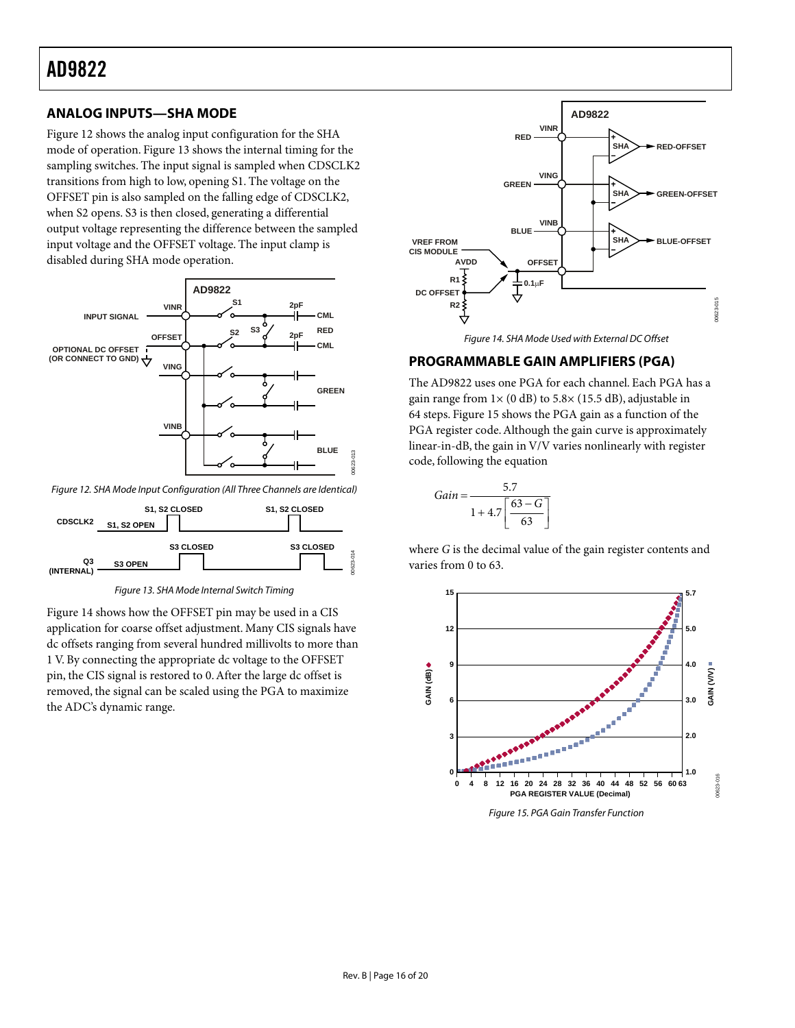### <span id="page-15-1"></span><span id="page-15-0"></span>**ANALOG INPUTS—SHA MODE**

[Figure 12 s](#page-15-2)hows the analog input configuration for the SHA mode of operation. [Figure 13 s](#page-15-4)hows the internal timing for the sampling switches. The input signal is sampled when CDSCLK2 transitions from high to low, opening S1. The voltage on the OFFSET pin is also sampled on the falling edge of CDSCLK2, when S2 opens. S3 is then closed, generating a differential output voltage representing the difference between the sampled input voltage and the OFFSET voltage. The input clamp is disabled during SHA mode operation.

<span id="page-15-2"></span>

<span id="page-15-4"></span>Figure 12. SHA Mode Input Configuration (All Three Channels are Identical)



Figure 13. SHA Mode Internal Switch Timing

[Figure 14 s](#page-15-5)hows how the OFFSET pin may be used in a CIS application for coarse offset adjustment. Many CIS signals have dc offsets ranging from several hundred millivolts to more than 1 V. By connecting the appropriate dc voltage to the OFFSET pin, the CIS signal is restored to 0.After the large dc offset is removed, the signal can be scaled using the PGA to maximize the ADC's dynamic range.

<span id="page-15-5"></span>

Figure 14. SHA Mode Used with External DC Offset

### **PROGRAMMABLE GAIN AMPLIFIERS (PGA)**

The AD9822 uses one PGA for each channel. Each PGA has a gain range from  $1 \times (0 \text{ dB})$  to  $5.8 \times (15.5 \text{ dB})$ , adjustable in 64 steps. [Figure 15 s](#page-15-3)hows the PGA gain as a function of the PGA register code. Although the gain curve is approximately linear-in-dB, the gain in V/V varies nonlinearly with register code, following the equation

$$
Gain = \frac{5.7}{1 + 4.7 \left[ \frac{63 - G}{63} \right]}
$$

where *G* is the decimal value of the gain register contents and varies from 0 to 63.

<span id="page-15-3"></span>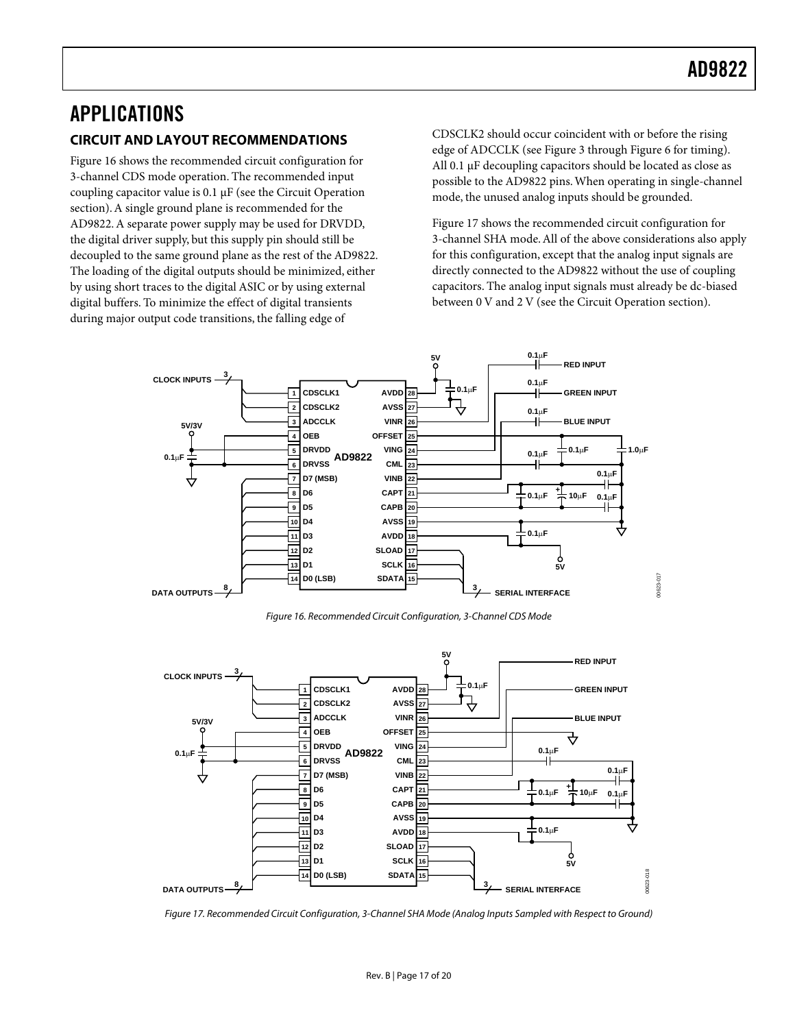## <span id="page-16-0"></span>APPLICATIONS **CIRCUIT AND LAYOUT RECOMMENDATIONS**

[Figure 16 s](#page-16-1)hows the recommended circuit configuration for 3-channel CDS mode operation. The recommended input coupling capacitor value is 0.1 µF (see the [Circuit Operation](#page-14-1)  section).A single ground plane is recommended for the AD9822.A separate power supply may be used for DRVDD, the digital driver supply, but this supply pin should still be decoupled to the same ground plane as the rest of the AD9822. The loading of the digital outputs should be minimized, either by using short traces to the digital ASIC or by using external digital buffers. To minimize the effect of digital transients during major output code transitions, the falling edge of

CDSCLK2 should occur coincident with or before the rising edge of ADCCLK (see [Figure 3](#page-8-0) through [Figure 6 f](#page-9-1)or timing). All 0.1 µF decoupling capacitors should be located as close as possible to the AD9822 pins.When operating in single-channel mode, the unused analog inputs should be grounded.

[Figure 17 s](#page-16-2)hows the recommended circuit configuration for 3-channel SHA mode.All of the above considerations also apply for this configuration, except that the analog input signals are directly connected to the AD9822 without the use of coupling capacitors. The analog input signals must already be dc-biased between 0 V and 2 V (see the [Circuit Operation s](#page-14-1)ection).

<span id="page-16-1"></span>

Figure 16. Recommended Circuit Configuration, 3-Channel CDS Mode

<span id="page-16-2"></span>

Figure 17. Recommended Circuit Configuration, 3-Channel SHA Mode (Analog Inputs Sampled with Respect to Ground)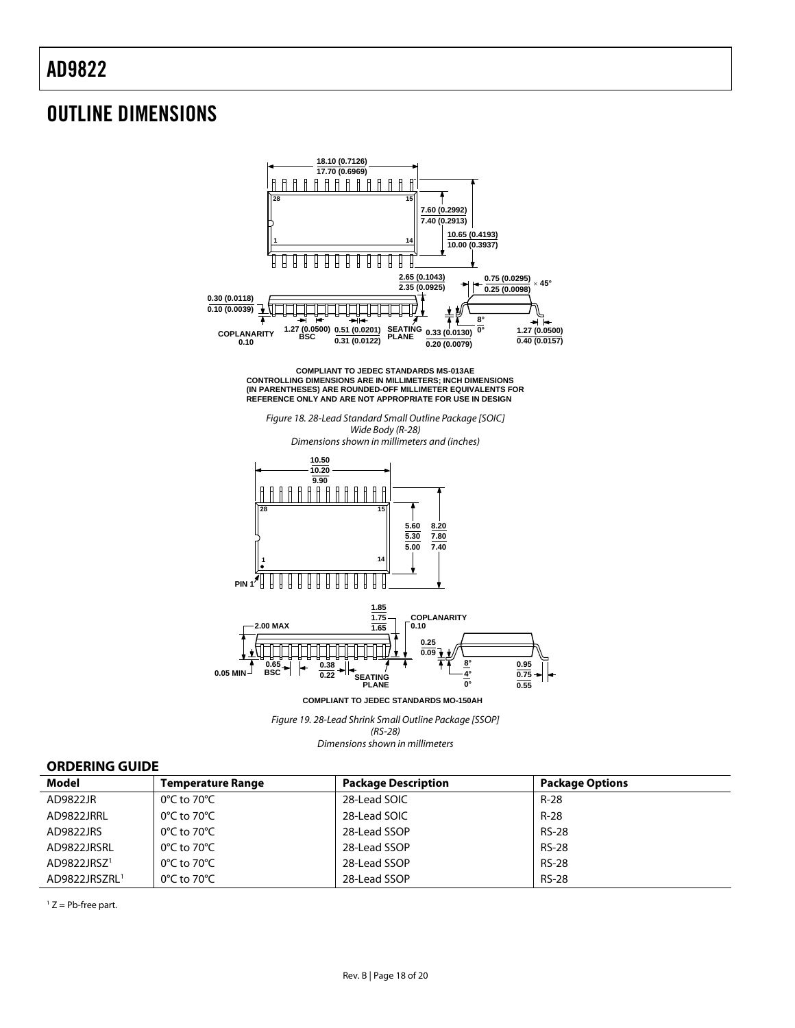# <span id="page-17-0"></span>OUTLINE DIMENSIONS



(RS-28) Dimensions shown in millimeters

### **ORDERING GUIDE**

| <b>Model</b>              | <b>Temperature Range</b>         | <b>Package Description</b> | <b>Package Options</b> |
|---------------------------|----------------------------------|----------------------------|------------------------|
| AD9822JR                  | $0^{\circ}$ C to 70 $^{\circ}$ C | 28-Lead SOIC               | $R-28$                 |
| AD9822JRRL                | $0^{\circ}$ C to 70 $^{\circ}$ C | 28-Lead SOIC               | $R-28$                 |
| AD9822JRS                 | $0^{\circ}$ C to 70 $^{\circ}$ C | 28-Lead SSOP               | <b>RS-28</b>           |
| AD9822JRSRL               | $0^{\circ}$ C to 70 $^{\circ}$ C | 28-Lead SSOP               | <b>RS-28</b>           |
| AD9822JRSZ1               | $0^{\circ}$ C to 70 $^{\circ}$ C | 28-Lead SSOP               | <b>RS-28</b>           |
| AD9822JRSZRL <sup>1</sup> | $0^{\circ}$ C to 70 $^{\circ}$ C | 28-Lead SSOP               | <b>RS-28</b>           |

<span id="page-17-2"></span><span id="page-17-1"></span> $1 Z = Pb$ -free part.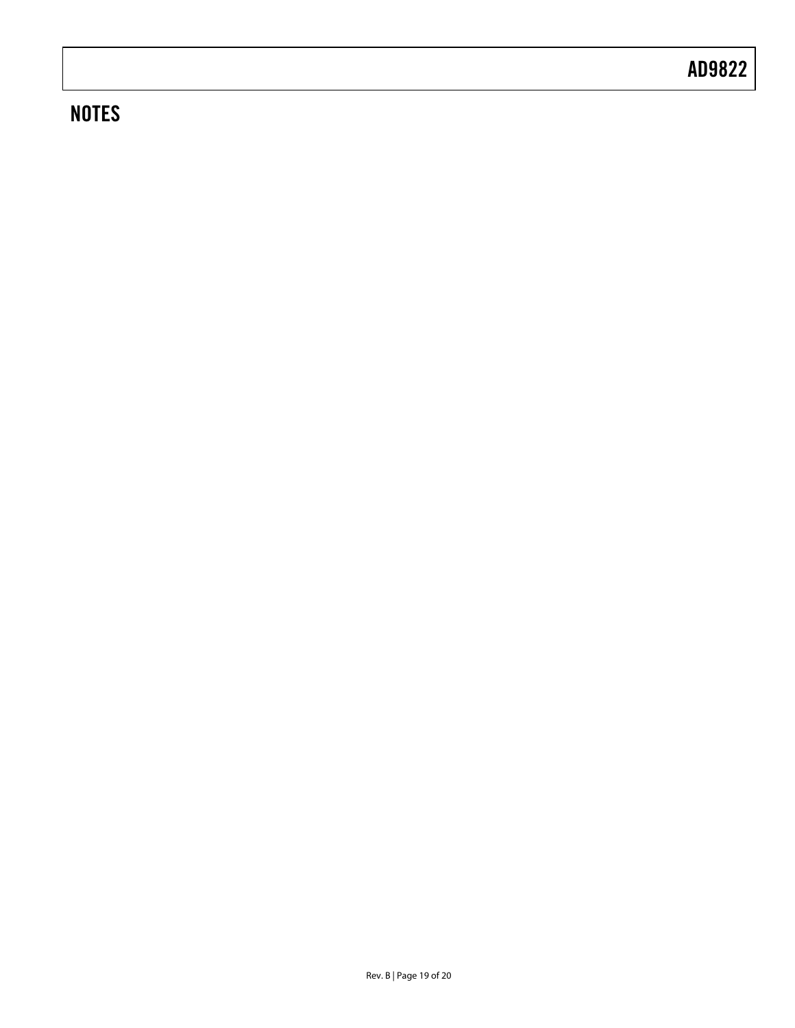# **NOTES**